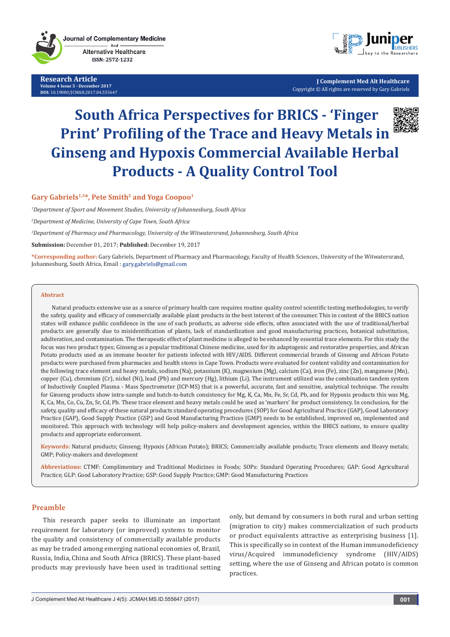**Research Article Volume 4 Issue 5 - December 2017 DOI:** [10.19080/JCMAH.2017.04.55564](http://dx.doi.org/10.19080/JCMAH.2017.04.555647)7



**J Complement Med Alt Healthcare** Copyright © All rights are reserved by Gary Gabriels

# **South Africa Perspectives for BRICS - 'Finger Print' Profiling of the Trace and Heavy Metals in Ginseng and Hypoxis Commercial Available Herbal Products - A Quality Control Tool**

# Gary Gabriels<sup>1,3\*</sup>, Pete Smith<sup>2</sup> and Yoga Coopoo<sup>1</sup>

*1 Department of Sport and Movement Studies, University of Johannesburg, South Africa*

*2 Department of Medicine, University of Cape Town, South Africa*

*3 Department of Pharmacy and Pharmacology, University of the Witwatersrand, Johannesburg, South Africa*

**Submission:** December 01, 2017; **Published:** December 19, 2017

**\*Corresponding author:** Gary Gabriels, Department of Pharmacy and Pharmacology, Faculty of Health Sciences, University of the Witwatersrand, Johannesburg, South Africa, Email : gary.gabriels@gmail.com

### **Abstract**

Natural products extensive use as a source of primary health care requires routine quality control scientific testing methodologies, to verify the safety, quality and efficacy of commercially available plant products in the best interest of the consumer. This in context of the BRICS nation states will enhance public confidence in the use of such products, as adverse side effects, often associated with the use of traditional/herbal products are generally due to misidentification of plants, lack of standardization and good manufacturing practices, botanical substitution, adulteration, and contamination. The therapeutic effect of plant medicine is alleged to be enhanced by essential trace elements. For this study the focus was two product types; Ginseng as a popular traditional Chinese medicine, used for its adaptogenic and restorative properties, and African Potato products used as an immune booster for patients infected with HIV/AIDS. Different commercial brands of Ginseng and African Potato products were purchased from pharmacies and health stores in Cape Town. Products were evaluated for content validity and contamination for the following trace element and heavy metals, sodium (Na), potassium (K), magnesium (Mg), calcium (Ca), iron (Fe), zinc (Zn), manganese (Mn), copper (Cu), chromium (Cr), nickel (Ni), lead (Pb) and mercury (Hg), lithium (Li). The instrument utilized was the combination tandem system of Inductively Coupled Plasma - Mass Spectrometer (ICP-MS) that is a powerful, accurate, fast and sensitive, analytical technique. The results for Ginseng products show intra-sample and batch-to-batch consistency for Mg, K, Ca, Mn, Fe, Sr, Cd, Pb, and for Hypoxis products this was Mg, K, Ca, Mn, Co, Cu, Zn, Sr, Cd, Pb. These trace element and heavy metals could be used as 'markers' for product consistency. In conclusion, for the safety, quality and efficacy of these natural products standard operating procedures (SOP) for Good Agricultural Practice (GAP), Good Laboratory Practice (GAP), Good Supply Practice (GSP) and Good Manufacturing Practices (GMP) needs to be established, improved on, implemented and monitored. This approach with technology will help policy-makers and development agencies, within the BRICS nations, to ensure quality products and appropriate enforcement.

**Keywords:** Natural products; Ginseng; Hypoxis (African Potato); BRICS; Commercially available products; Trace elements and Heavy metals; GMP; Policy-makers and development

**Abbreviations:** CTMF: Complimentary and Traditional Medicines in Foods; SOPs: Standard Operating Procedures; GAP: Good Agricultural Practice; GLP: Good Laboratory Practice; GSP: Good Supply Practice; GMP: Good Manufacturing Practices

### **Preamble**

This research paper seeks to illuminate an important requirement for laboratory (or improved) systems to monitor the quality and consistency of commercially available products as may be traded among emerging national economies of, Brazil, Russia, India, China and South Africa (BRICS). These plant-based products may previously have been used in traditional setting only, but demand by consumers in both rural and urban setting (migration to city) makes commercialization of such products or product equivalents attractive as enterprising business [1]. This is specifically so in context of the Human immunodeficiency virus/Acquired immunodeficiency syndrome (HIV/AIDS) setting, where the use of Ginseng and African potato is common practices.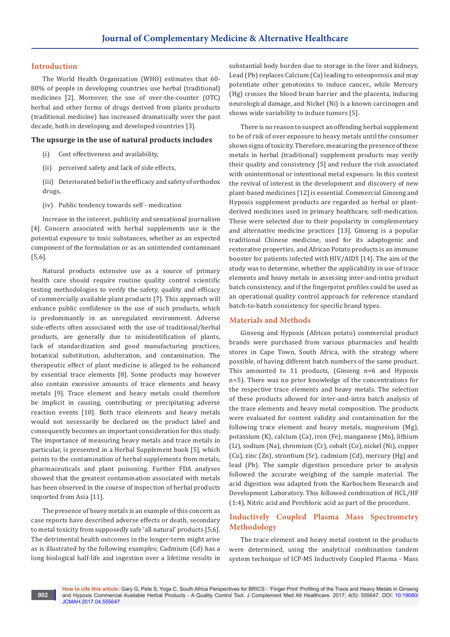### **Introduction**

The World Health Organization (WHO) estimates that 60- 80% of people in developing countries use herbal (traditional) medicines [2]. Moreover, the use of over-the-counter (OTC) herbal and other forms of drugs derived from plants products (traditional medicine) has increased dramatically over the past decade, both in developing and developed countries [3].

### **The upsurge in the use of natural products includes**

- (i) Cost effectiveness and availability,
- (ii) perceived safety and lack of side effects,

(iii) Deteriorated belief in the efficacy and safety of orthodox drugs,

(iv) Public tendency towards self - medication

Increase in the interest, publicity and sensational journalism [4]. Concern associated with herbal supplements use is the potential exposure to toxic substances, whether as an expected component of the formulation or as an unintended contaminant [5,6].

Natural products extensive use as a source of primary health care should require routine quality control scientific testing methodologies to verify the safety, quality and efficacy of commercially available plant products [7]. This approach will enhance public confidence in the use of such products, which is predominantly in an unregulated environment. Adverse side-effects often associated with the use of traditional/herbal products, are generally due to misidentification of plants, lack of standardization and good manufacturing practices, botanical substitution, adulteration, and contamination. The therapeutic effect of plant medicine is alleged to be enhanced by essential trace elements [8]. Some products may however also contain excessive amounts of trace elements and heavy metals [9]. Trace element and heavy metals could therefore be implicit in causing, contributing or precipitating adverse reaction events [10]. Both trace elements and heavy metals would not necessarily be declared on the product label and consequently becomes an important consideration for this study. The importance of measuring heavy metals and trace metals in particular, is presented in a Herbal Supplement book [5], which points to the contamination of herbal supplements from metals, pharmaceuticals and plant poisoning. Further FDA analyses showed that the greatest contamination associated with metals has been observed in the course of inspection of herbal products imported from Asia [11].

The presence of heavy metals is an example of this concern as case reports have described adverse effects or death, secondary to metal toxicity from supposedly safe 'all natural' products [5,6]. The detrimental health outcomes in the longer-term might arise as is illustrated by the following examples; Cadmium (Cd) has a long biological half-life and ingestion over a lifetime results in

substantial body burden due to storage in the liver and kidneys, Lead (Pb) replaces Calcium (Ca) leading to osteoporosis and may potentiate other genotoxins to induce cancer., while Mercury (Hg) crosses the blood brain barrier and the placenta, inducing neurological damage, and Nickel (Ni) is a known carcinogen and shows wide variability to induce tumors [5].

There is no reason to suspect an offending herbal supplement to be of risk of over exposure to heavy metals until the consumer shows signs of toxicity. Therefore, measuring the presence of these metals in herbal (traditional) supplement products may verify their quality and consistency [5] and reduce the risk associated with unintentional or intentional metal exposure. In this context the revival of interest in the development and discovery of new plant-based medicines [12] is essential. Commercial Ginseng and Hypoxis supplement products are regarded as herbal or plantderived medicines used in primary healthcare, self-medication. These were selected due to their popularity in complementary and alternative medicine practices [13]. Ginseng is a popular traditional Chinese medicine, used for its adaptogenic and restorative properties, and African Potato products is an immune booster for patients infected with HIV/AIDS [14]. The aim of the study was to determine, whether the applicability in use of trace elements and heavy metals in assessing inter-and-intra product batch consistency, and if the fingerprint profiles could be used as an operational quality control approach for reference standard batch-to-batch consistency for specific brand types.

### **Materials and Methods**

Ginseng and Hypoxis (African potato) commercial product brands were purchased from various pharmacies and health stores in Cape Town, South Africa, with the strategy where possible, of having different batch numbers of the same product. This amounted to 11 products, (Ginseng n=6 and Hypoxis n=5). There was no prior knowledge of the concentrations for the respective trace elements and heavy metals. The selection of these products allowed for inter-and-intra batch analysis of the trace elements and heavy metal composition. The products were evaluated for content validity and contamination for the following trace element and heavy metals, magnesium (Mg), potassium (K), calcium (Ca), iron (Fe), manganese (Mn), lithium (Li), sodium (Na), chromium (Cr), cobalt (Co), nickel (Ni), copper (Cu), zinc (Zn), strontium (Sr), cadmium (Cd), mercury (Hg) and lead (Pb). The sample digestion procedure prior to analysis followed the accurate weighing of the sample material. The acid digestion was adapted from the Karbochem Research and Development Laboratory. This followed combination of HCL/HF (1:4), Nitric acid and Perchloric acid as part of the procedure.

# **Inductively Coupled Plasma Mass Spectrometry Methodology**

The trace element and heavy metal content in the products were determined, using the analytical combination tandem system technique of ICP-MS Inductively Coupled Plasma - Mass

**How to cite this article:** Gary G, Pete S, Yoga C. South Africa Perspectives for BRICS - 'Finger Print' Profiling of the Trace and Heavy Metals in Ginseng and Hypoxis Commercial Available Herbal Products - A Quality Control Tool. J Complement Med Alt Healthcare. 2017; 4(5): 555647. DOI: [10.19080/](http://dx.doi.org/10.19080/JCMAH.2017.04.555647) [JCMAH.2017.04.55564](http://dx.doi.org/10.19080/JCMAH.2017.04.555647)7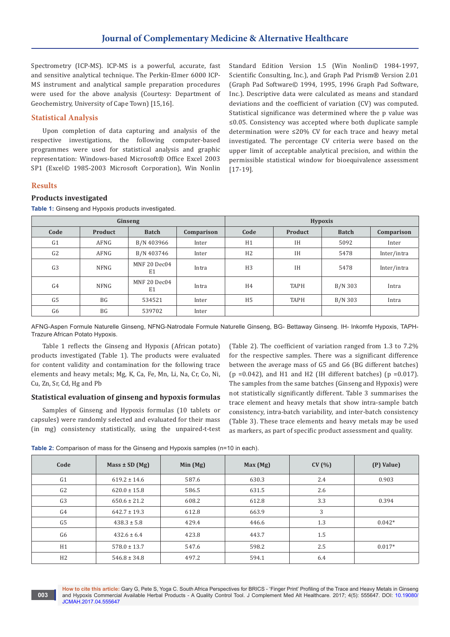Spectrometry (ICP-MS). ICP-MS is a powerful, accurate, fast and sensitive analytical technique. The Perkin-Elmer 6000 ICP-MS instrument and analytical sample preparation procedures were used for the above analysis (Courtesy: Department of Geochemistry, University of Cape Town) [15,16].

# **Statistical Analysis**

Upon completion of data capturing and analysis of the respective investigations, the following computer-based programmes were used for statistical analysis and graphic representation: Windows-based Microsoft® Office Excel 2003 SP1 (Excel© 1985-2003 Microsoft Corporation), Win Nonlin

**Table 1:** Ginseng and Hypoxis products investigated.

Standard Edition Version 1.5 (Win Nonlin© 1984-1997, Scientific Consulting, Inc.), and Graph Pad Prism® Version 2.01 (Graph Pad Software© 1994, 1995, 1996 Graph Pad Software, Inc.). Descriptive data were calculated as means and standard deviations and the coefficient of variation (CV) was computed. Statistical significance was determined where the p value was ≤0.05. Consistency was accepted where both duplicate sample determination were ≤20% CV for each trace and heavy metal investigated. The percentage CV criteria were based on the upper limit of acceptable analytical precision, and within the permissible statistical window for bioequivalence assessment [17-19].

# **Results**

# **Products investigated**

| Ginseng        |           |                                |            | <b>Hypoxis</b> |             |              |             |  |
|----------------|-----------|--------------------------------|------------|----------------|-------------|--------------|-------------|--|
| Code           | Product   | <b>Batch</b>                   | Comparison | Code           | Product     | <b>Batch</b> | Comparison  |  |
| G <sub>1</sub> | AFNG      | B/N 403966                     | Inter      | H1             | <b>IH</b>   | 5092         | Inter       |  |
| G <sub>2</sub> | AFNG      | B/N 403746                     | Inter      | H <sub>2</sub> | <b>IH</b>   | 5478         | Inter/intra |  |
| G <sub>3</sub> | NFNG      | MNF 20 Dec04<br>E1             | Intra      | H <sub>3</sub> | <b>IH</b>   | 5478         | Inter/intra |  |
| G <sub>4</sub> | NFNG      | MNF 20 Dec04<br>E <sub>1</sub> | Intra      | H <sub>4</sub> | <b>TAPH</b> | B/N 303      | Intra       |  |
| G <sub>5</sub> | <b>BG</b> | 534521                         | Inter      | H <sub>5</sub> | <b>TAPH</b> | B/N 303      | Intra       |  |
| G <sub>6</sub> | BG        | 539702                         | Inter      |                |             |              |             |  |
|                |           |                                |            |                |             |              |             |  |

AFNG-Aspen Formule Naturelle Ginseng, NFNG-Natrodale Formule Naturelle Ginseng, BG- Bettaway Ginseng. IH- Inkomfe Hypoxis, TAPH-Trazure African Potato Hypoxis.

Table 1 reflects the Ginseng and Hypoxis (African potato) products investigated (Table 1). The products were evaluated for content validity and contamination for the following trace elements and heavy metals; Mg, K, Ca, Fe, Mn, Li, Na, Cr, Co, Ni, Cu, Zn, Sr, Cd, Hg and Pb

# **Statistical evaluation of ginseng and hypoxis formulas**

Samples of Ginseng and Hypoxis formulas (10 tablets or capsules) were randomly selected and evaluated for their mass (in mg) consistency statistically, using the unpaired-t-test (Table 2). The coefficient of variation ranged from 1.3 to 7.2% for the respective samples. There was a significant difference between the average mass of G5 and G6 (BG different batches)  $(p = 0.042)$ , and H1 and H2 (IH different batches)  $(p = 0.017)$ . The samples from the same batches (Ginseng and Hypoxis) were not statistically significantly different. Table 3 summarises the trace element and heavy metals that show intra-sample batch consistency, intra-batch variability, and inter-batch consistency (Table 3). These trace elements and heavy metals may be used as markers, as part of specific product assessment and quality.

|  |  | Table 2: Comparison of mass for the Ginseng and Hypoxis samples (n=10 in each). |
|--|--|---------------------------------------------------------------------------------|
|--|--|---------------------------------------------------------------------------------|

| Code           | $Mass \pm SD(Mg)$ | Min $(Mg)$ | Max(Mg) | CV(% ) | (P) Value) |
|----------------|-------------------|------------|---------|--------|------------|
| G <sub>1</sub> | $619.2 \pm 14.6$  | 587.6      | 630.3   | 2.4    | 0.903      |
| G <sub>2</sub> | $620.0 \pm 15.8$  | 586.5      | 631.5   | 2.6    |            |
| G <sub>3</sub> | $650.6 \pm 21.2$  | 608.2      | 612.8   | 3.3    | 0.394      |
| G4             | $642.7 \pm 19.3$  | 612.8      | 663.9   | 3      |            |
| G <sub>5</sub> | $438.3 \pm 5.8$   | 429.4      | 446.6   | 1.3    | $0.042*$   |
| G <sub>6</sub> | $432.6 \pm 6.4$   | 423.8      | 443.7   | 1.5    |            |
| H1             | $578.0 \pm 13.7$  | 547.6      | 598.2   | 2.5    | $0.017*$   |
| H <sub>2</sub> | $546.8 \pm 34.8$  | 497.2      | 594.1   | 6.4    |            |

**How to cite this article:** Gary G, Pete S, Yoga C. South Africa Perspectives for BRICS - 'Finger Print' Profiling of the Trace and Heavy Metals in Ginseng and Hypoxis Commercial Available Herbal Products - A Quality Control Tool. J Complement Med Alt Healthcare. 2017; 4(5): 555647. DOI: [10.19080/](http://dx.doi.org/10.19080/JCMAH.2017.04.555647) [JCMAH.2017.04.55564](http://dx.doi.org/10.19080/JCMAH.2017.04.555647)7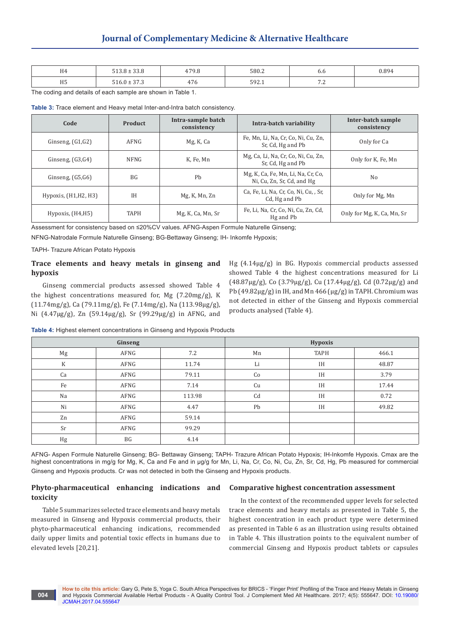| H <sub>4</sub> | .222<br>$F A \Omega$<br>JJ.U | 1700<br>Y.Ö              | 580.2        | o.o           | 0.894 |
|----------------|------------------------------|--------------------------|--------------|---------------|-------|
| <b>IIE</b>     | T100.272                     | $\overline{\phantom{0}}$ | $F \cap T$   | $\sim$ $\sim$ |       |
| пэ             | ن. ، ن                       | .                        | <u>JJ4.1</u> | .             |       |

The coding and details of each sample are shown in Table 1.

**Table 3:** Trace element and Heavy metal Inter-and-Intra batch consistency.

| Code                   | <b>Product</b>  | Intra-sample batch<br>consistency | Intra-batch variability                                          |                            |
|------------------------|-----------------|-----------------------------------|------------------------------------------------------------------|----------------------------|
| Ginseng, $(G1,G2)$     | AFNG            | Mg, K, Ca                         | Fe, Mn, Li, Na, Cr, Co, Ni, Cu, Zn,<br>Sr, Cd, Hg and Pb         | Only for Ca                |
| Ginseng, $(G3,G4)$     | <b>NFNG</b>     | K, Fe, Mn                         | Mg, Ca, Li, Na, Cr, Co, Ni, Cu, Zn,<br>Sr, Cd, Hg and Pb         | Only for K, Fe, Mn         |
| Ginseng, $(G5,G6)$     | BG <sub>f</sub> | Ph                                | Mg, K, Ca, Fe, Mn, Li, Na, Cr, Co,<br>Ni, Cu, Zn, Sr, Cd, and Hg | N <sub>0</sub>             |
| Hypoxis, $(H1,H2, H3)$ | IΗ              | Mg, K, Mn, Zn                     | Ca, Fe, Li, Na, Cr, Co, Ni, Cu, , Sr,<br>Cd, Hg and Pb           | Only for Mg, Mn            |
| Hypoxis, (H4,H5)       | <b>TAPH</b>     | Mg, K, Ca, Mn, Sr                 | Fe, Li, Na, Cr, Co, Ni, Cu, Zn, Cd,<br>Hg and Pb                 | Only for Mg, K, Ca, Mn, Sr |

Assessment for consistency based on ≤20%CV values. AFNG-Aspen Formule Naturelle Ginseng;

NFNG-Natrodale Formule Naturelle Ginseng; BG-Bettaway Ginseng; IH- Inkomfe Hypoxis;

TAPH- Trazure African Potato Hypoxis

# **Trace elements and heavy metals in ginseng and hypoxis**

Ginseng commercial products assessed showed Table 4 the highest concentrations measured for, Mg (7.20mg/g), K (11.74mg/g), Ca (79.11mg/g), Fe (7.14mg/g), Na (113.98µg/g), Ni (4.47µg/g), Zn (59.14µg/g), Sr (99.29µg/g) in AFNG, and

Hg (4.14µg/g) in BG. Hypoxis commercial products assessed showed Table 4 the highest concentrations measured for Li  $(48.87\mu$ g/g), Co  $(3.79\mu$ g/g), Cu  $(17.44\mu$ g/g), Cd  $(0.72\mu$ g/g) and Pb  $(49.82 \mu g/g)$  in IH, and Mn 466  $(\mu g/g)$  in TAPH. Chromium was not detected in either of the Ginseng and Hypoxis commercial products analysed (Table 4).

**Table 4:** Highest element concentrations in Ginseng and Hypoxis Products

|             | Ginseng |        | Hypoxis |             |       |  |
|-------------|---------|--------|---------|-------------|-------|--|
| Mg          | AFNG    | 7.2    | Mn      | <b>TAPH</b> | 466.1 |  |
| $\rm K$     | AFNG    | 11.74  | Li      | IH          | 48.87 |  |
| Ca          | AFNG    | 79.11  | Co      | IH          | 3.79  |  |
| Fe          | AFNG    | 7.14   | Cu      | IH          | 17.44 |  |
| Na          | AFNG    | 113.98 | Cd      | IH          | 0.72  |  |
| Ni          | AFNG    | 4.47   | Pb      | IH          | 49.82 |  |
| Zn          | AFNG    | 59.14  |         |             |       |  |
| Sr          | AFNG    | 99.29  |         |             |       |  |
| $_{\rm Hg}$ | BG      | 4.14   |         |             |       |  |
|             |         |        |         |             |       |  |

AFNG- Aspen Formule Naturelle Ginseng; BG- Bettaway Ginseng; TAPH- Trazure African Potato Hypoxis; IH-Inkomfe Hypoxis. Cmax are the highest concentrations in mg/g for Mg, K, Ca and Fe and in µg/g for Mn, Li, Na, Cr, Co, Ni, Cu, Zn, Sr, Cd, Hg, Pb measured for commercial Ginseng and Hypoxis products. Cr was not detected in both the Ginseng and Hypoxis products.

# **Phyto-pharmaceutical enhancing indications and toxicity**

# **Comparative highest concentration assessment**

Table 5 summarizes selected trace elements and heavy metals measured in Ginseng and Hypoxis commercial products, their phyto-pharmaceutical enhancing indications, recommended daily upper limits and potential toxic effects in humans due to elevated levels [20,21].

**004**

In the context of the recommended upper levels for selected trace elements and heavy metals as presented in Table 5, the highest concentration in each product type were determined as presented in Table 6 as an illustration using results obtained in Table 4. This illustration points to the equivalent number of commercial Ginseng and Hypoxis product tablets or capsules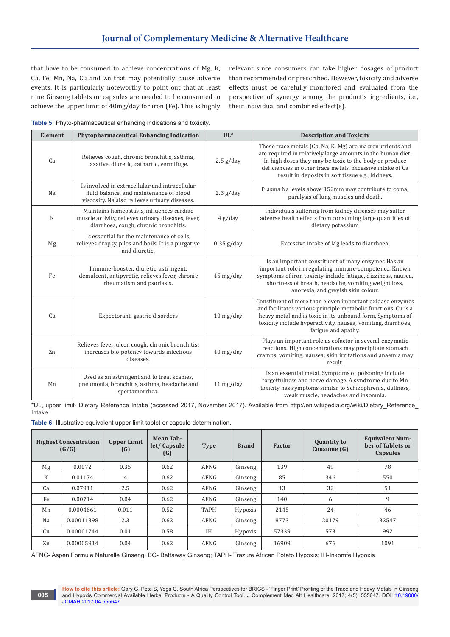that have to be consumed to achieve concentrations of Mg, K, Ca, Fe, Mn, Na, Cu and Zn that may potentially cause adverse events. It is particularly noteworthy to point out that at least nine Ginseng tablets or capsules are needed to be consumed to achieve the upper limit of 40mg/day for iron (Fe). This is highly relevant since consumers can take higher dosages of product than recommended or prescribed. However, toxicity and adverse effects must be carefully monitored and evaluated from the perspective of synergy among the product's ingredients, i.e., their individual and combined effect(s).

| Table 5: Phyto-pharmaceutical enhancing indications and toxicity. |  |  |
|-------------------------------------------------------------------|--|--|
|                                                                   |  |  |

| Element | Phytopharmaceutical Enhancing Indication                                                                                                   | $UL^*$              | <b>Description and Toxicity</b>                                                                                                                                                                                                                                                                      |
|---------|--------------------------------------------------------------------------------------------------------------------------------------------|---------------------|------------------------------------------------------------------------------------------------------------------------------------------------------------------------------------------------------------------------------------------------------------------------------------------------------|
| Ca      | Relieves cough, chronic bronchitis, asthma,<br>laxative, diuretic, cathartic, vermifuge.                                                   | $2.5$ g/day         | These trace metals (Ca, Na, K, Mg) are macronutrients and<br>are required in relatively large amounts in the human diet.<br>In high doses they may be toxic to the body or produce<br>deficiencies in other trace metals. Excessive intake of Ca<br>result in deposits in soft tissue e.g., kidneys. |
| Na      | Is involved in extracellular and intracellular<br>fluid balance, and maintenance of blood<br>viscosity. Na also relieves urinary diseases. | $2.3$ g/day         | Plasma Na levels above 152mm may contribute to coma,<br>paralysis of lung muscles and death.                                                                                                                                                                                                         |
| $\rm K$ | Maintains homeostasis, influences cardiac<br>muscle activity, relieves urinary diseases, fever,<br>diarrhoea, cough, chronic bronchitis.   | 4 g/day             | Individuals suffering from kidney diseases may suffer<br>adverse health effects from consuming large quantities of<br>dietary potassium                                                                                                                                                              |
| Mg      | Is essential for the maintenance of cells,<br>relieves dropsy, piles and boils. It is a purgative<br>and diuretic.                         | $0.35$ g/day        | Excessive intake of Mg leads to diarrhoea.                                                                                                                                                                                                                                                           |
| Fe      | Immune-booster, diuretic, astringent,<br>demulcent, antipyretic, relieves fever, chronic<br>rheumatism and psoriasis.                      | 45 mg/day           | Is an important constituent of many enzymes Has an<br>important role in regulating immune-competence. Known<br>symptoms of iron toxicity include fatigue, dizziness, nausea,<br>shortness of breath, headache, vomiting weight loss,<br>anorexia, and greyish skin colour.                           |
| Cu      | Expectorant, gastric disorders                                                                                                             | $10$ mg/day         | Constituent of more than eleven important oxidase enzymes<br>and facilitates various principle metabolic functions. Cu is a<br>heavy metal and is toxic in its unbound form. Symptoms of<br>toxicity include hyperactivity, nausea, vomiting, diarrhoea,<br>fatigue and apathy.                      |
| Zn      | Relieves fever, ulcer, cough, chronic bronchitis;<br>increases bio-potency towards infectious<br>diseases.                                 | $40$ mg/day         | Plays an important role as cofactor in several enzymatic<br>reactions. High concentrations may precipitate stomach<br>cramps; vomiting, nausea; skin irritations and anaemia may<br>result.                                                                                                          |
| Mn      | Used as an astringent and to treat scabies,<br>pneumonia, bronchitis, asthma, headache and<br>spertamorrhea.                               | $11 \text{ mg/day}$ | Is an essential metal. Symptoms of poisoning include<br>forgetfulness and nerve damage. A syndrome due to Mn<br>toxicity has symptoms similar to Schizophrenia, dullness,<br>weak muscle, headaches and insomnia.                                                                                    |

\*UL, upper limit- Dietary Reference Intake (accessed 2017, November 2017). Available from http://en.wikipedia.org/wiki/Dietary\_Reference\_ Intake

**Table 6:** Illustrative equivalent upper limit tablet or capsule determination.

|                | <b>Highest Concentration</b><br>(G/G) | <b>Upper Limit</b><br>(G) | Mean Tab-<br>let/Capsule<br>(G) | <b>Type</b> | <b>Brand</b> | <b>Factor</b> | <b>Quantity to</b><br>Consume (G) | <b>Equivalent Num-</b><br>ber of Tablets or<br>Capsules |
|----------------|---------------------------------------|---------------------------|---------------------------------|-------------|--------------|---------------|-----------------------------------|---------------------------------------------------------|
| Mg             | 0.0072                                | 0.35                      | 0.62                            | AFNG        | Ginseng      | 139           | 49                                | 78                                                      |
| K              | 0.01174                               | 4                         | 0.62                            | AFNG        | Ginseng      | 85            | 346                               | 550                                                     |
| Ca             | 0.07911                               | 2.5                       | 0.62                            | AFNG        | Ginseng      | 13            | 32                                | 51                                                      |
| Fe             | 0.00714                               | 0.04                      | 0.62                            | AFNG        | Ginseng      | 140           | 6                                 | 9                                                       |
| Mn             | 0.0004661                             | 0.011                     | 0.52                            | <b>TAPH</b> | Hypoxis      | 2145          | 24                                | 46                                                      |
| Na             | 0.00011398                            | 2.3                       | 0.62                            | AFNG        | Ginseng      | 8773          | 20179                             | 32547                                                   |
| Cu             | 0.00001744                            | 0.01                      | 0.58                            | <b>IH</b>   | Hypoxis      | 57339         | 573                               | 992                                                     |
| Z <sub>n</sub> | 0.00005914                            | 0.04                      | 0.62                            | AFNG        | Ginseng      | 16909         | 676                               | 1091                                                    |

AFNG- Aspen Formule Naturelle Ginseng; BG- Bettaway Ginseng; TAPH- Trazure African Potato Hypoxis; IH-Inkomfe Hypoxis

**How to cite this article:** Gary G, Pete S, Yoga C. South Africa Perspectives for BRICS - 'Finger Print' Profiling of the Trace and Heavy Metals in Ginseng and Hypoxis Commercial Available Herbal Products - A Quality Control Tool. J Complement Med Alt Healthcare. 2017; 4(5): 555647. DOI: [10.19080/](http://dx.doi.org/10.19080/JCMAH.2017.04.555647) [JCMAH.2017.04.55564](http://dx.doi.org/10.19080/JCMAH.2017.04.555647)7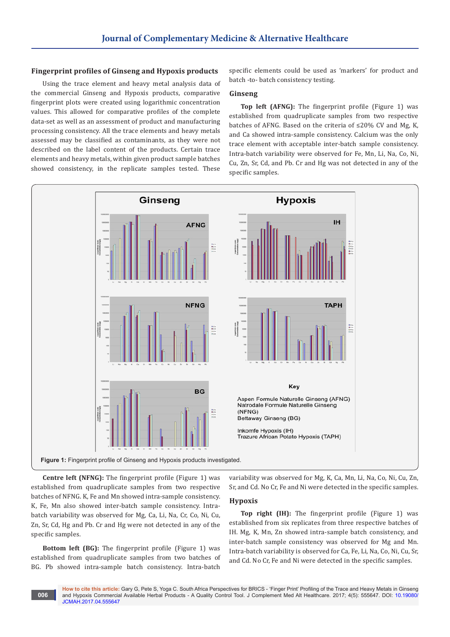### **Fingerprint profiles of Ginseng and Hypoxis products**

Using the trace element and heavy metal analysis data of the commercial Ginseng and Hypoxis products, comparative fingerprint plots were created using logarithmic concentration values. This allowed for comparative profiles of the complete data-set as well as an assessment of product and manufacturing processing consistency. All the trace elements and heavy metals assessed may be classified as contaminants, as they were not described on the label content of the products. Certain trace elements and heavy metals, within given product sample batches showed consistency, in the replicate samples tested. These specific elements could be used as 'markers' for product and batch -to- batch consistency testing.

### **Ginseng**

**Top left (AFNG):** The fingerprint profile (Figure 1) was established from quadruplicate samples from two respective batches of AFNG. Based on the criteria of ≤20% CV and Mg, K, and Ca showed intra-sample consistency. Calcium was the only trace element with acceptable inter-batch sample consistency. Intra-batch variability were observed for Fe, Mn, Li, Na, Co, Ni, Cu, Zn, Sr, Cd, and Pb. Cr and Hg was not detected in any of the specific samples.



**Centre left (NFNG):** The fingerprint profile (Figure 1) was established from quadruplicate samples from two respective batches of NFNG. K, Fe and Mn showed intra-sample consistency. K, Fe, Mn also showed inter-batch sample consistency. Intrabatch variability was observed for Mg, Ca, Li, Na, Cr, Co, Ni, Cu, Zn, Sr, Cd, Hg and Pb. Cr and Hg were not detected in any of the specific samples.

**Bottom left (BG):** The fingerprint profile (Figure 1) was established from quadruplicate samples from two batches of BG. Pb showed intra-sample batch consistency. Intra-batch

variability was observed for Mg, K, Ca, Mn, Li, Na, Co, Ni, Cu, Zn, Sr, and Cd. No Cr, Fe and Ni were detected in the specific samples.

# **Hypoxis**

**Top right (IH):** The fingerprint profile (Figure 1) was established from six replicates from three respective batches of IH. Mg, K, Mn, Zn showed intra-sample batch consistency, and inter-batch sample consistency was observed for Mg and Mn. Intra-batch variability is observed for Ca, Fe, Li, Na, Co, Ni, Cu, Sr, and Cd. No Cr, Fe and Ni were detected in the specific samples.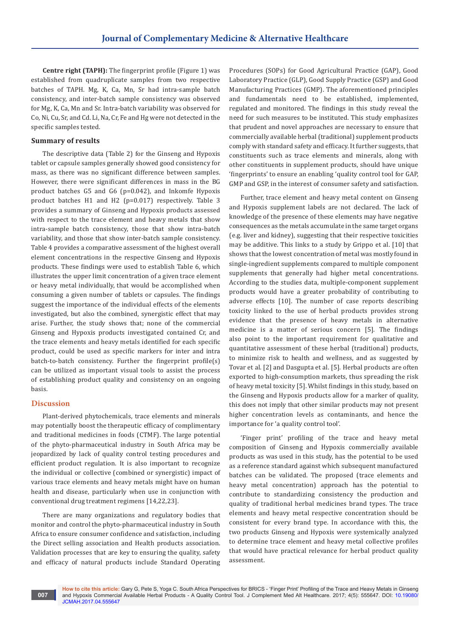**Centre right (TAPH):** The fingerprint profile (Figure 1) was established from quadruplicate samples from two respective batches of TAPH. Mg, K, Ca, Mn, Sr had intra-sample batch consistency, and inter-batch sample consistency was observed for Mg, K, Ca, Mn and Sr. Intra-batch variability was observed for Co, Ni, Cu, Sr, and Cd. Li, Na, Cr, Fe and Hg were not detected in the specific samples tested.

### **Summary of results**

The descriptive data (Table 2) for the Ginseng and Hypoxis tablet or capsule samples generally showed good consistency for mass, as there was no significant difference between samples. However, there were significant differences in mass in the BG product batches G5 and G6 (p=0.042), and Inkomfe Hypoxis product batches H1 and H2 (p=0.017) respectively. Table 3 provides a summary of Ginseng and Hypoxis products assessed with respect to the trace element and heavy metals that show intra-sample batch consistency, those that show intra-batch variability, and those that show inter-batch sample consistency. Table 4 provides a comparative assessment of the highest overall element concentrations in the respective Ginseng and Hypoxis products. These findings were used to establish Table 6, which illustrates the upper limit concentration of a given trace element or heavy metal individually, that would be accomplished when consuming a given number of tablets or capsules. The findings suggest the importance of the individual effects of the elements investigated, but also the combined, synergistic effect that may arise. Further, the study shows that; none of the commercial Ginseng and Hypoxis products investigated contained Cr, and the trace elements and heavy metals identified for each specific product, could be used as specific markers for inter and intra batch-to-batch consistency. Further the fingerprint profile(s) can be utilized as important visual tools to assist the process of establishing product quality and consistency on an ongoing basis.

# **Discussion**

Plant-derived phytochemicals, trace elements and minerals may potentially boost the therapeutic efficacy of complimentary and traditional medicines in foods (CTMF). The large potential of the phyto-pharmaceutical industry in South Africa may be jeopardized by lack of quality control testing procedures and efficient product regulation. It is also important to recognize the individual or collective (combined or synergistic) impact of various trace elements and heavy metals might have on human health and disease, particularly when use in conjunction with conventional drug treatment regimens [14,22,23].

There are many organizations and regulatory bodies that monitor and control the phyto-pharmaceutical industry in South Africa to ensure consumer confidence and satisfaction, including the Direct selling association and Health products association. Validation processes that are key to ensuring the quality, safety and efficacy of natural products include Standard Operating

Procedures (SOPs) for Good Agricultural Practice (GAP), Good Laboratory Practice (GLP), Good Supply Practice (GSP) and Good Manufacturing Practices (GMP). The aforementioned principles and fundamentals need to be established, implemented, regulated and monitored. The findings in this study reveal the need for such measures to be instituted. This study emphasizes that prudent and novel approaches are necessary to ensure that commercially available herbal (traditional) supplement products comply with standard safety and efficacy. It further suggests, that constituents such as trace elements and minerals, along with other constituents in supplement products, should have unique 'fingerprints' to ensure an enabling 'quality control tool for GAP, GMP and GSP, in the interest of consumer safety and satisfaction.

Further, trace element and heavy metal content on Ginseng and Hypoxis supplement labels are not declared. The lack of knowledge of the presence of these elements may have negative consequences as the metals accumulate in the same target organs (e.g. liver and kidney), suggesting that their respective toxicities may be additive. This links to a study by Grippo et al. [10] that shows that the lowest concentration of metal was mostly found in single-ingredient supplements compared to multiple component supplements that generally had higher metal concentrations. According to the studies data, multiple-component supplement products would have a greater probability of contributing to adverse effects [10]. The number of case reports describing toxicity linked to the use of herbal products provides strong evidence that the presence of heavy metals in alternative medicine is a matter of serious concern [5]. The findings also point to the important requirement for qualitative and quantitative assessment of these herbal (traditional) products, to minimize risk to health and wellness, and as suggested by Tovar et al. [2] and Dasgupta et al. [5]. Herbal products are often exported to high-consumption markets, thus spreading the risk of heavy metal toxicity [5]. Whilst findings in this study, based on the Ginseng and Hypoxis products allow for a marker of quality, this does not imply that other similar products may not present higher concentration levels as contaminants, and hence the importance for 'a quality control tool'.

'Finger print' profiling of the trace and heavy metal composition of Ginseng and Hypoxis commercially available products as was used in this study, has the potential to be used as a reference standard against which subsequent manufactured batches can be validated. The proposed (trace elements and heavy metal concentration) approach has the potential to contribute to standardizing consistency the production and quality of traditional herbal medicines brand types. The trace elements and heavy metal respective concentration should be consistent for every brand type. In accordance with this, the two products Ginseng and Hypoxis were systemically analyzed to determine trace element and heavy metal collective profiles that would have practical relevance for herbal product quality assessment.

**How to cite this article:** Gary G, Pete S, Yoga C. South Africa Perspectives for BRICS - 'Finger Print' Profiling of the Trace and Heavy Metals in Ginseng and Hypoxis Commercial Available Herbal Products - A Quality Control Tool. J Complement Med Alt Healthcare. 2017; 4(5): 555647. DOI: [10.19080/](http://dx.doi.org/10.19080/JCMAH.2017.04.555647) [JCMAH.2017.04.55564](http://dx.doi.org/10.19080/JCMAH.2017.04.555647)7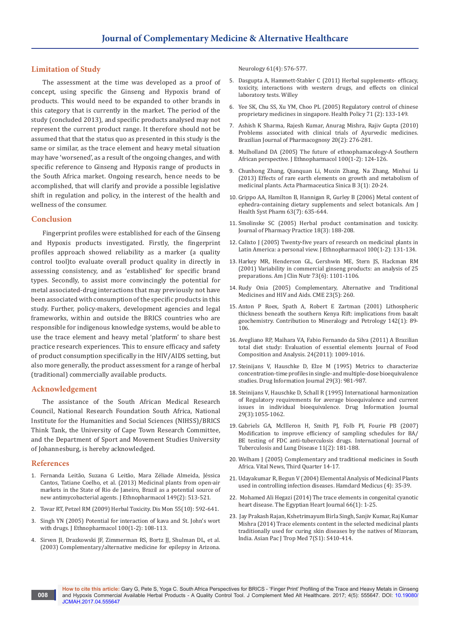### **Limitation of Study**

The assessment at the time was developed as a proof of concept, using specific the Ginseng and Hypoxis brand of products. This would need to be expanded to other brands in this category that is currently in the market. The period of the study (concluded 2013), and specific products analysed may not represent the current product range. It therefore should not be assumed that that the status quo as presented in this study is the same or similar, as the trace element and heavy metal situation may have 'worsened', as a result of the ongoing changes, and with specific reference to Ginseng and Hypoxis range of products in the South Africa market. Ongoing research, hence needs to be accomplished, that will clarify and provide a possible legislative shift in regulation and policy, in the interest of the health and wellness of the consumer.

### **Conclusion**

Fingerprint profiles were established for each of the Ginseng and Hypoxis products investigated. Firstly, the fingerprint profiles approach showed reliability as a marker (a quality control tool)to evaluate overall product quality in directly in assessing consistency, and as 'established' for specific brand types. Secondly, to assist more convincingly the potential for metal associated-drug interactions that may previously not have been associated with consumption of the specific products in this study. Further, policy-makers, development agencies and legal frameworks, within and outside the BRICS countries who are responsible for indigenous knowledge systems, would be able to use the trace element and heavy metal 'platform' to share best practice research experiences. This to ensure efficacy and safety of product consumption specifically in the HIV/AIDS setting, but also more generally, the product assessment for a range of herbal (traditional) commercially available products.

### **Acknowledgement**

The assistance of the South African Medical Research Council, National Research Foundation South Africa, National Institute for the Humanities and Social Sciences (NIHSS)/BRICS Think Tank, the University of Cape Town Research Committee, and the Department of Sport and Movement Studies University of Johannesburg, is hereby acknowledged.

### **References**

- 1. [Fernanda Leitão, Suzana G Leitão, Mara Zéliade Almeida, Jéssica](https://www.ncbi.nlm.nih.gov/pubmed/23871806)  [Cantos, Tatiane Coelho, et al. \(2013\) Medicinal plants from open-air](https://www.ncbi.nlm.nih.gov/pubmed/23871806)  [markets in the State of Rio de Janeiro, Brazil as a potential source of](https://www.ncbi.nlm.nih.gov/pubmed/23871806)  [new antimycobacterial agents. J Ethnopharmacol 149\(2\): 513-521.](https://www.ncbi.nlm.nih.gov/pubmed/23871806)
- 2. [Tovar RT, Petzel RM \(2009\) Herbal Toxicity. Dis Mon 55\(10\): 592-641](https://www.ncbi.nlm.nih.gov/pubmed/19782820).
- 3. [Singh YN \(2005\) Potential for interaction of kava and St. John's wort](https://www.ncbi.nlm.nih.gov/pubmed/16005588)  [with drugs. J Ethnopharmacol 100\(1-2\): 108-113.](https://www.ncbi.nlm.nih.gov/pubmed/16005588)
- 4. [Sirven JI, Drazkowski JF, Zimmerman RS, Bortz JJ, Shulman DL, et al.](https://www.ncbi.nlm.nih.gov/pubmed/12939447)  [\(2003\) Complementary/alternative medicine for epilepsy in Arizona.](https://www.ncbi.nlm.nih.gov/pubmed/12939447)

[Neurology 61\(4\): 576-577.](https://www.ncbi.nlm.nih.gov/pubmed/12939447)

- 5. Dasgupta A, Hammett-Stabler C (2011) Herbal supplements- efficacy, toxicity, interactions with western drugs, and effects on clinical laboratory tests. Willey
- 6. [Yee SK, Chu SS, Xu YM, Choo PL \(2005\) Regulatory control of chinese](https://www.ncbi.nlm.nih.gov/pubmed/15607377)  [proprietary medicines in singapore. Health Policy 71 \(2\): 133-149](https://www.ncbi.nlm.nih.gov/pubmed/15607377).
- 7. [Ashish K Sharma, Rajesh Kumar, Anurag Mishra, Rajiv Gupta \(2010\)](http://www.scielo.br/pdf/rbfar/v20n2/a23v20n2.pdf)  [Problems associated with clinical trials of Ayurvedic medicines.](http://www.scielo.br/pdf/rbfar/v20n2/a23v20n2.pdf)  [Brazilian Journal of Pharmacognosy 20\(2\): 276-281.](http://www.scielo.br/pdf/rbfar/v20n2/a23v20n2.pdf)
- 8. [Mulholland DA \(2005\) The future of ethnophamacology-A Southern](https://www.ncbi.nlm.nih.gov/pubmed/15993017)  [African perspective. J Ethnopharmacol 100\(1-2\): 124-126.](https://www.ncbi.nlm.nih.gov/pubmed/15993017)
- 9. [Chunhong Zhang, Qianquan Li, Muxin Zhang, Na Zhang, Minhui Li](https://www.sciencedirect.com/science/article/pii/S2211383512001645)  [\(2013\) Effects of rare earth elements on growth and metabolism of](https://www.sciencedirect.com/science/article/pii/S2211383512001645)  [medicinal plants. Acta Pharmaceutica Sinica B 3\(1\): 20-24.](https://www.sciencedirect.com/science/article/pii/S2211383512001645)
- 10. [Grippo AA, Hamilton B, Hannigan R, Gurley B \(2006\) Metal content of](https://www.ncbi.nlm.nih.gov/pubmed/16554287)  [ephedra-containing dietary supplements and select botanicals. Am J](https://www.ncbi.nlm.nih.gov/pubmed/16554287)  [Health Syst Pharm 63\(7\): 635-644.](https://www.ncbi.nlm.nih.gov/pubmed/16554287)
- 11. [Smolinske SC \(2005\) Herbal product contamination and toxicity.](http://journals.sagepub.com/doi/abs/10.1177/0897190005277217)  [Journal of Pharmacy Practice 18\(3\): 188-208.](http://journals.sagepub.com/doi/abs/10.1177/0897190005277217)
- 12. [Calixto J \(2005\) Twenty-five years of research on medicinal plants in](https://www.ncbi.nlm.nih.gov/pubmed/16006081)  [Latin America: a personal view. J Ethnopharmacol 100\(1-2\): 131-134.](https://www.ncbi.nlm.nih.gov/pubmed/16006081)
- 13. [Harkey MR, Henderson GL, Gershwin ME, Stern JS, Hackman RM](https://www.ncbi.nlm.nih.gov/pubmed/11382666)  [\(2001\) Variability in commercial ginseng products: an analysis of 25](https://www.ncbi.nlm.nih.gov/pubmed/11382666)  [preparations. Am J Clin Nutr 73\(6\): 1101-1106.](https://www.ncbi.nlm.nih.gov/pubmed/11382666)
- 14. Rudy Onia (2005) Complementary, Alternative and Traditional Medicines and HIV and Aids. CME 23(5): 260.
- 15. Anton P Roex, Spath A, Robert E [Zartman \(2001\) Lithospheric](https://link.springer.com/article/10.1007/s004100100273)  [thickness beneath the southern Kenya Rift: implications from basalt](https://link.springer.com/article/10.1007/s004100100273)  [geochemistry. Contribution to Mineralogy and Petrology 142\(1\): 89-](https://link.springer.com/article/10.1007/s004100100273) [106.](https://link.springer.com/article/10.1007/s004100100273)
- 16. [Avegliano RP, Maihara VA, Fabio Fernando da Silva \(2011\) A Brazilian](https://www.ipen.br/biblioteca/2011/17243.pdf)  [total diet study: Evaluation of essential elements Journal of Food](https://www.ipen.br/biblioteca/2011/17243.pdf)  [Composition and Analysis. 24\(2011\): 1009-1016.](https://www.ipen.br/biblioteca/2011/17243.pdf)
- 17. [Steinijans V, Hauschke D, Elze M \(1995\) Metrics to characterize](http://journals.sagepub.com/doi/abs/10.1177/009286159502900319)  [concentration-time profiles in single- and multiple-dose bioequivalence](http://journals.sagepub.com/doi/abs/10.1177/009286159502900319)  [studies. Drug Information Journal 29\(3\): 981-987.](http://journals.sagepub.com/doi/abs/10.1177/009286159502900319)
- 18. [Steinijans V, Hauschke D, Schall R \(1995\) International harmonization](http://journals.sagepub.com/doi/abs/10.1177/009286159502900326)  [of Regulatory requirements for average bioequivalence and current](http://journals.sagepub.com/doi/abs/10.1177/009286159502900326)  [issues in individual bioequivalence. Drug Information Journal](http://journals.sagepub.com/doi/abs/10.1177/009286159502900326)  [29\(3\):1055-1062.](http://journals.sagepub.com/doi/abs/10.1177/009286159502900326)
- 19. [Gabriels GA, McIlleron H, Smith PJ, Folb PI, Fourie PB \(2007\)](https://www.ncbi.nlm.nih.gov/pubmed/17263289)  [Modification to improve efficiency of sampling schedules for BA/](https://www.ncbi.nlm.nih.gov/pubmed/17263289) [BE testing of FDC anti-tuberculosis drugs. International Journal of](https://www.ncbi.nlm.nih.gov/pubmed/17263289)  [Tuberculosis and Lung Disease 11\(2\): 181-188.](https://www.ncbi.nlm.nih.gov/pubmed/17263289)
- 20. Welham J (2005) Complementary and traditional medicines in South Africa. Vital News, Third Quarter 14-17.
- 21. Udayakumar R, Begun V (2004) Elemental Analysis of Medicinal Plants used in controlling infection diseases. Hamdard Medicus (4): 35-39.
- 22. [Mohamed Ali Hegazi \(2014\) The trace elements in congenital cyanotic](http://www.sciencedirect.com/science/article/pii/S1110260813001920)  [heart disease. The Egyptian Heart Journal 66\(1\): 1-25.](http://www.sciencedirect.com/science/article/pii/S1110260813001920)
- 23. [Jay Prakash Rajan, Kshetrimayum Birla Singh, Sanjiv Kumar, Raj Kumar](https://www.ncbi.nlm.nih.gov/pubmed/25312159)  [Mishra \(2014\) Trace elements content in the selected medicinal plants](https://www.ncbi.nlm.nih.gov/pubmed/25312159)  [traditionally used for curing skin diseases by the natives of Mizoram,](https://www.ncbi.nlm.nih.gov/pubmed/25312159)  [India. Asian Pac J Trop Med 7\(S1\): S410-414.](https://www.ncbi.nlm.nih.gov/pubmed/25312159)